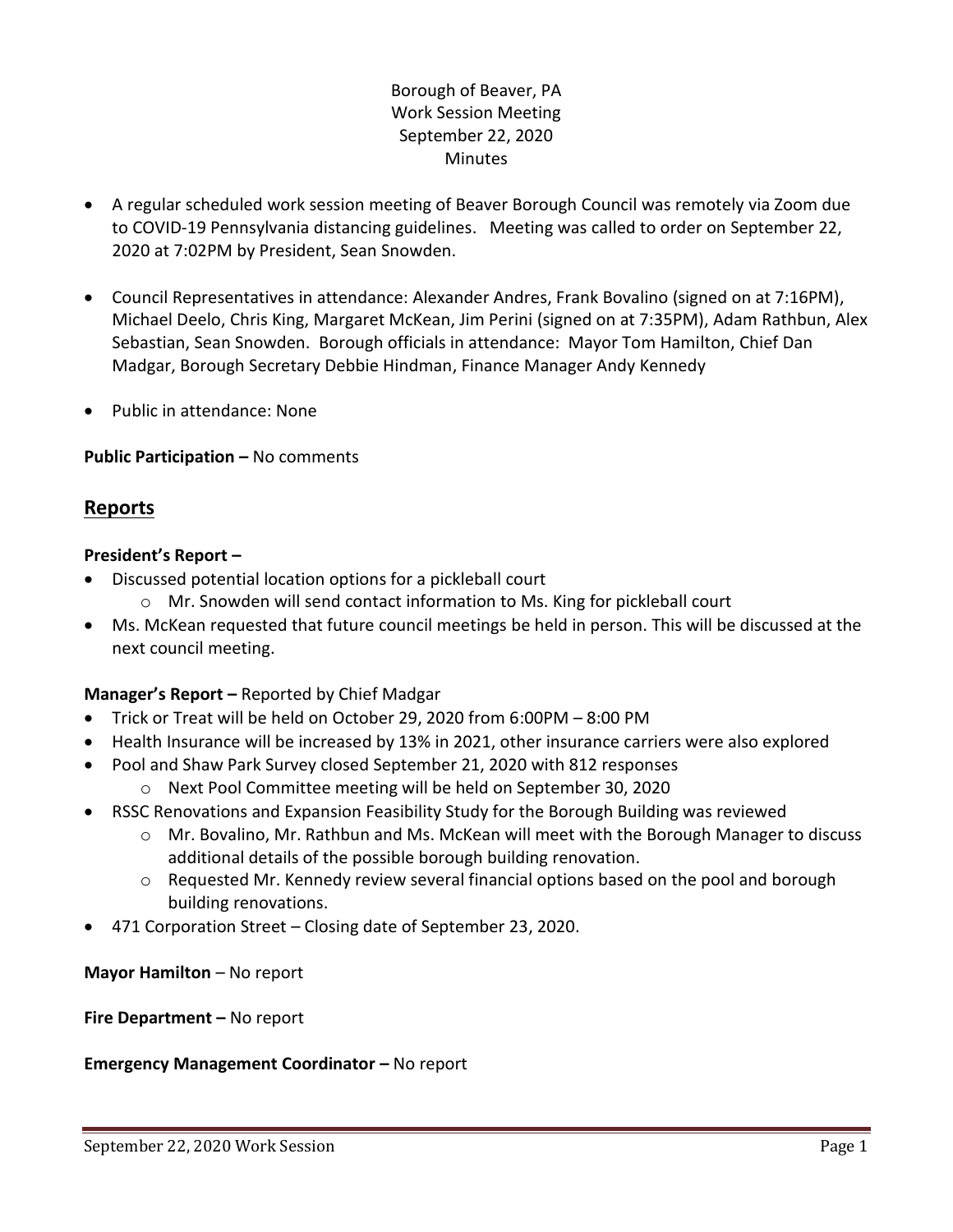## Borough of Beaver, PA Work Session Meeting September 22, 2020 Minutes

- A regular scheduled work session meeting of Beaver Borough Council was remotely via Zoom due to COVID-19 Pennsylvania distancing guidelines. Meeting was called to order on September 22, 2020 at 7:02PM by President, Sean Snowden.
- Council Representatives in attendance: Alexander Andres, Frank Bovalino (signed on at 7:16PM), Michael Deelo, Chris King, Margaret McKean, Jim Perini (signed on at 7:35PM), Adam Rathbun, Alex Sebastian, Sean Snowden. Borough officials in attendance: Mayor Tom Hamilton, Chief Dan Madgar, Borough Secretary Debbie Hindman, Finance Manager Andy Kennedy
- Public in attendance: None

### **Public Participation –** No comments

# **Reports**

### **President's Report –**

- Discussed potential location options for a pickleball court
	- $\circ$  Mr. Snowden will send contact information to Ms. King for pickleball court
- Ms. McKean requested that future council meetings be held in person. This will be discussed at the next council meeting.

### **Manager's Report –** Reported by Chief Madgar

- Trick or Treat will be held on October 29, 2020 from 6:00PM 8:00 PM
- Health Insurance will be increased by 13% in 2021, other insurance carriers were also explored
- Pool and Shaw Park Survey closed September 21, 2020 with 812 responses
	- o Next Pool Committee meeting will be held on September 30, 2020
- RSSC Renovations and Expansion Feasibility Study for the Borough Building was reviewed
	- o Mr. Bovalino, Mr. Rathbun and Ms. McKean will meet with the Borough Manager to discuss additional details of the possible borough building renovation.
	- o Requested Mr. Kennedy review several financial options based on the pool and borough building renovations.
- 471 Corporation Street Closing date of September 23, 2020.

**Mayor Hamilton** – No report

**Fire Department –** No report

### **Emergency Management Coordinator - No report**